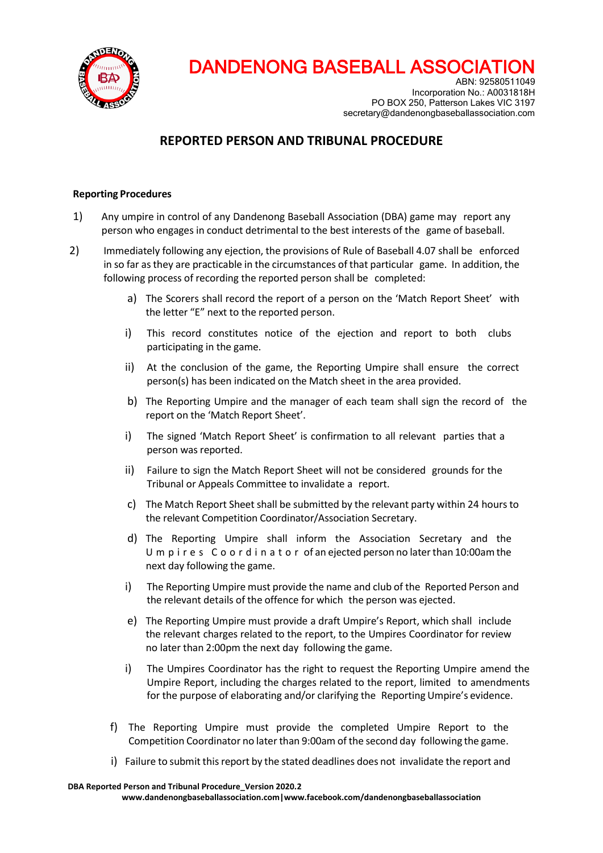

ABN: 92580511049 Incorporation No.: A0031818H PO BOX 250, Patterson Lakes VIC 3197 secretary@dandenongbaseballassociation.com

### **REPORTED PERSON AND TRIBUNAL PROCEDURE**

#### **Reporting Procedures**

- 1) Any umpire in control of any Dandenong Baseball Association (DBA) game may report any person who engages in conduct detrimental to the best interests of the game of baseball.
- 2) Immediately following any ejection, the provisions of Rule of Baseball 4.07 shall be enforced in so far asthey are practicable in the circumstances of that particular game. In addition, the following process of recording the reported person shall be completed:
	- a) The Scorers shall record the report of a person on the 'Match Report Sheet' with the letter "E" next to the reported person.
	- i) This record constitutes notice of the ejection and report to both clubs participating in the game.
	- ii) At the conclusion of the game, the Reporting Umpire shall ensure the correct person(s) has been indicated on the Match sheet in the area provided.
	- b) The Reporting Umpire and the manager of each team shall sign the record of the report on the 'Match Report Sheet'.
	- i) The signed 'Match Report Sheet' is confirmation to all relevant parties that a person was reported.
	- ii) Failure to sign the Match Report Sheet will not be considered grounds for the Tribunal or Appeals Committee to invalidate a report.
	- c) The Match Report Sheet shall be submitted by the relevant party within 24 hours to the relevant Competition Coordinator/Association Secretary.
	- d) The Reporting Umpire shall inform the Association Secretary and the U m p i r e s C o o r d i n a t o r of an ejected person no later than 10:00am the next day following the game.
	- i) The Reporting Umpire must provide the name and club of the Reported Person and the relevant details of the offence for which the person was ejected.
	- e) The Reporting Umpire must provide a draft Umpire's Report, which shall include the relevant charges related to the report, to the Umpires Coordinator for review no later than 2:00pm the next day following the game.
	- i) The Umpires Coordinator has the right to request the Reporting Umpire amend the Umpire Report, including the charges related to the report, limited to amendments for the purpose of elaborating and/or clarifying the Reporting Umpire's evidence.
	- f) The Reporting Umpire must provide the completed Umpire Report to the Competition Coordinator no laterthan 9:00am of the second day following the game.
	- i) Failure to submit this report by the stated deadlines does not invalidate the report and

**DBA Reported Person and Tribunal Procedure\_Version 2020.2**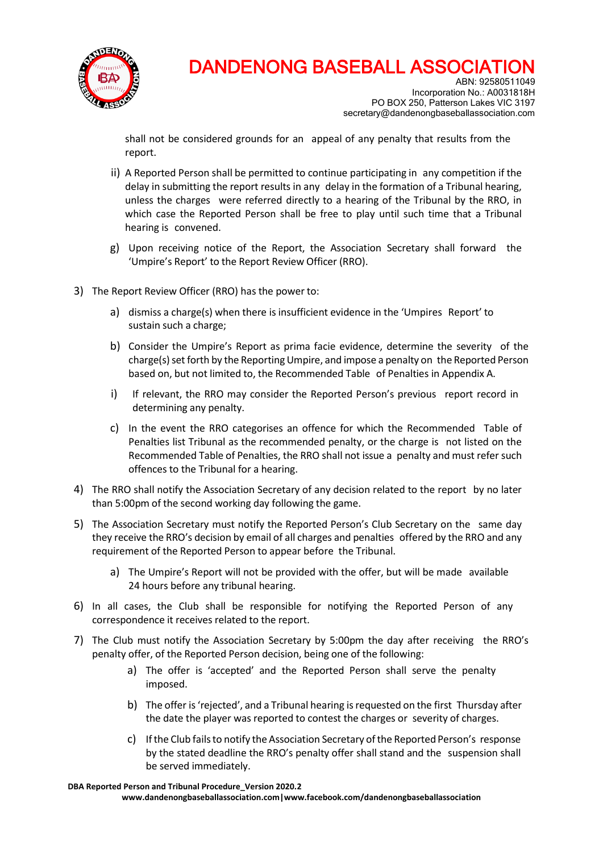

ABN: 92580511049 Incorporation No.: A0031818H PO BOX 250, Patterson Lakes VIC 3197 secretary@dandenongbaseballassociation.com

shall not be considered grounds for an appeal of any penalty that results from the report.

- ii) A Reported Person shall be permitted to continue participating in any competition if the delay in submitting the report results in any delay in the formation of a Tribunal hearing, unless the charges were referred directly to a hearing of the Tribunal by the RRO, in which case the Reported Person shall be free to play until such time that a Tribunal hearing is convened.
- g) Upon receiving notice of the Report, the Association Secretary shall forward the 'Umpire's Report' to the Report Review Officer (RRO).
- 3) The Report Review Officer (RRO) has the power to:
	- a) dismiss a charge(s) when there is insufficient evidence in the 'Umpires Report' to sustain such a charge;
	- b) Consider the Umpire's Report as prima facie evidence, determine the severity of the charge(s) set forth by the Reporting Umpire, and impose a penalty on the Reported Person based on, but not limited to, the Recommended Table of Penalties in Appendix A.
	- i) If relevant, the RRO may consider the Reported Person's previous report record in determining any penalty.
	- c) In the event the RRO categorises an offence for which the Recommended Table of Penalties list Tribunal as the recommended penalty, or the charge is not listed on the Recommended Table of Penalties, the RRO shall not issue a penalty and must refer such offences to the Tribunal for a hearing.
- 4) The RRO shall notify the Association Secretary of any decision related to the report by no later than 5:00pm of the second working day following the game.
- 5) The Association Secretary must notify the Reported Person's Club Secretary on the same day they receive the RRO's decision by email of all charges and penalties offered by the RRO and any requirement of the Reported Person to appear before the Tribunal.
	- a) The Umpire's Report will not be provided with the offer, but will be made available 24 hours before any tribunal hearing.
- 6) In all cases, the Club shall be responsible for notifying the Reported Person of any correspondence it receives related to the report.
- 7) The Club must notify the Association Secretary by 5:00pm the day after receiving the RRO's penalty offer, of the Reported Person decision, being one of the following:
	- a) The offer is 'accepted' and the Reported Person shall serve the penalty imposed.
	- b) The offer is'rejected', and a Tribunal hearing isrequested on the first Thursday after the date the player was reported to contest the charges or severity of charges.
	- c) If the Club failsto notify the Association Secretary ofthe Reported Person's response by the stated deadline the RRO's penalty offer shall stand and the suspension shall be served immediately.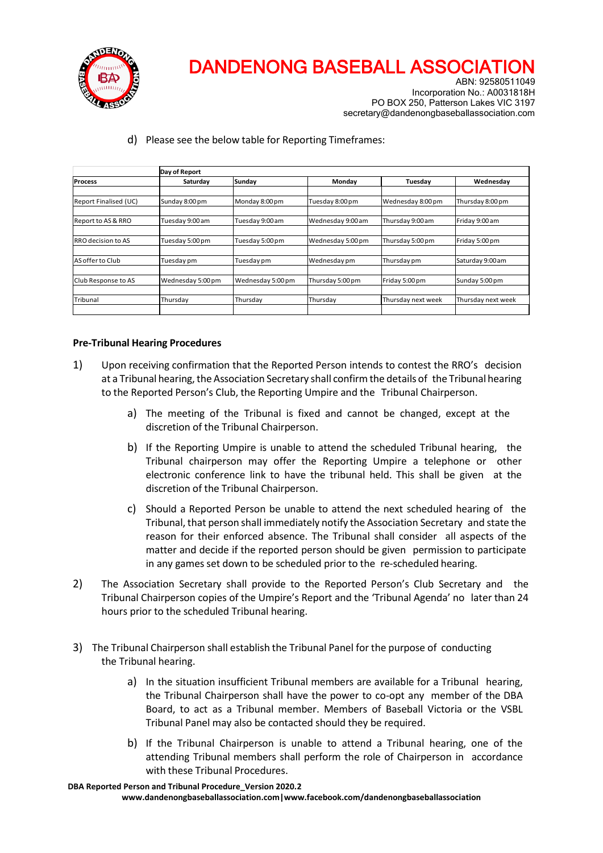

ABN: 92580511049 Incorporation No.: A0031818H PO BOX 250, Patterson Lakes VIC 3197 secretary@dandenongbaseballassociation.com

d) Please see the below table for Reporting Timeframes:

|                       | Day of Report     |                   |                   |                    |                    |
|-----------------------|-------------------|-------------------|-------------------|--------------------|--------------------|
| <b>Process</b>        | Saturday          | Sunday            | Monday            | Tuesday            | Wednesday          |
|                       |                   |                   |                   |                    |                    |
| Report Finalised (UC) | Sunday 8:00 pm    | Monday 8:00 pm    | Tuesday 8:00 pm   | Wednesday 8:00 pm  | Thursday 8:00 pm   |
|                       |                   |                   |                   |                    |                    |
| Report to AS & RRO    | Tuesday 9:00 am   | Tuesday 9:00 am   | Wednesday 9:00 am | Thursday 9:00 am   | Friday 9:00 am     |
|                       |                   |                   |                   |                    |                    |
| RRO decision to AS    | Tuesday 5:00 pm   | Tuesday 5:00 pm   | Wednesday 5:00pm  | Thursday 5:00 pm   | Friday 5:00 pm     |
|                       |                   |                   |                   |                    |                    |
| AS offer to Club      | Tuesday pm        | Tuesday pm        | Wednesday pm      | Thursday pm        | Saturday 9:00 am   |
|                       |                   |                   |                   |                    |                    |
| Club Response to AS   | Wednesday 5:00 pm | Wednesday 5:00 pm | Thursday 5:00 pm  | Friday 5:00 pm     | Sunday 5:00 pm     |
|                       |                   |                   |                   |                    |                    |
| Tribunal              | Thursday          | Thursday          | Thursday          | Thursday next week | Thursday next week |
|                       |                   |                   |                   |                    |                    |

#### **Pre-Tribunal Hearing Procedures**

- 1) Upon receiving confirmation that the Reported Person intends to contest the RRO's decision at a Tribunal hearing, the Association Secretary shall confirm the details of the Tribunal hearing to the Reported Person's Club, the Reporting Umpire and the Tribunal Chairperson.
	- a) The meeting of the Tribunal is fixed and cannot be changed, except at the discretion of the Tribunal Chairperson.
	- b) If the Reporting Umpire is unable to attend the scheduled Tribunal hearing, the Tribunal chairperson may offer the Reporting Umpire a telephone or other electronic conference link to have the tribunal held. This shall be given at the discretion of the Tribunal Chairperson.
	- c) Should a Reported Person be unable to attend the next scheduled hearing of the Tribunal, that person shall immediately notify the Association Secretary and state the reason for their enforced absence. The Tribunal shall consider all aspects of the matter and decide if the reported person should be given permission to participate in any games set down to be scheduled prior to the re-scheduled hearing.
- 2) The Association Secretary shall provide to the Reported Person's Club Secretary and the Tribunal Chairperson copies of the Umpire's Report and the 'Tribunal Agenda' no later than 24 hours prior to the scheduled Tribunal hearing.
- 3) The Tribunal Chairperson shall establish the Tribunal Panel for the purpose of conducting the Tribunal hearing.
	- a) In the situation insufficient Tribunal members are available for a Tribunal hearing, the Tribunal Chairperson shall have the power to co-opt any member of the DBA Board, to act as a Tribunal member. Members of Baseball Victoria or the VSBL Tribunal Panel may also be contacted should they be required.
	- b) If the Tribunal Chairperson is unable to attend a Tribunal hearing, one of the attending Tribunal members shall perform the role of Chairperson in accordance with these Tribunal Procedures.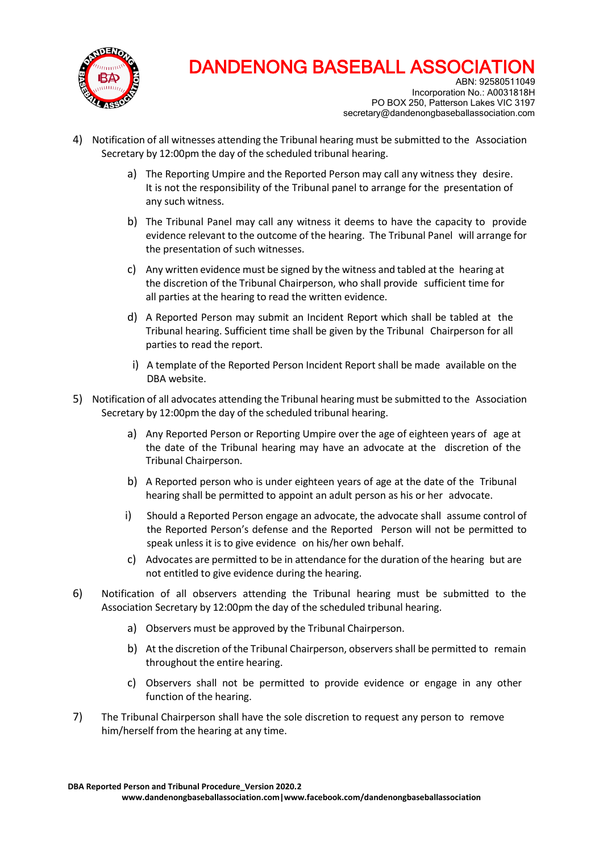

ABN: 92580511049 Incorporation No.: A0031818H PO BOX 250, Patterson Lakes VIC 3197 secretary@dandenongbaseballassociation.com

- 4) Notification of all witnesses attending the Tribunal hearing must be submitted to the Association Secretary by 12:00pm the day of the scheduled tribunal hearing.
	- a) The Reporting Umpire and the Reported Person may call any witness they desire. It is not the responsibility of the Tribunal panel to arrange for the presentation of any such witness.
	- b) The Tribunal Panel may call any witness it deems to have the capacity to provide evidence relevant to the outcome of the hearing. The Tribunal Panel will arrange for the presentation of such witnesses.
	- c) Any written evidence must be signed by the witness and tabled at the hearing at the discretion of the Tribunal Chairperson, who shall provide sufficient time for all parties at the hearing to read the written evidence.
	- d) A Reported Person may submit an Incident Report which shall be tabled at the Tribunal hearing. Sufficient time shall be given by the Tribunal Chairperson for all parties to read the report.
	- i) A template of the Reported Person Incident Report shall be made available on the DBA website.
- 5) Notification of all advocates attending the Tribunal hearing must be submitted to the Association Secretary by 12:00pm the day of the scheduled tribunal hearing.
	- a) Any Reported Person or Reporting Umpire over the age of eighteen years of age at the date of the Tribunal hearing may have an advocate at the discretion of the Tribunal Chairperson.
	- b) A Reported person who is under eighteen years of age at the date of the Tribunal hearing shall be permitted to appoint an adult person as his or her advocate.
	- i) Should a Reported Person engage an advocate, the advocate shall assume control of the Reported Person's defense and the Reported Person will not be permitted to speak unless it is to give evidence on his/her own behalf.
	- c) Advocates are permitted to be in attendance for the duration of the hearing but are not entitled to give evidence during the hearing.
- 6) Notification of all observers attending the Tribunal hearing must be submitted to the Association Secretary by 12:00pm the day of the scheduled tribunal hearing.
	- a) Observers must be approved by the Tribunal Chairperson.
	- b) At the discretion of the Tribunal Chairperson, observers shall be permitted to remain throughout the entire hearing.
	- c) Observers shall not be permitted to provide evidence or engage in any other function of the hearing.
- 7) The Tribunal Chairperson shall have the sole discretion to request any person to remove him/herself from the hearing at any time.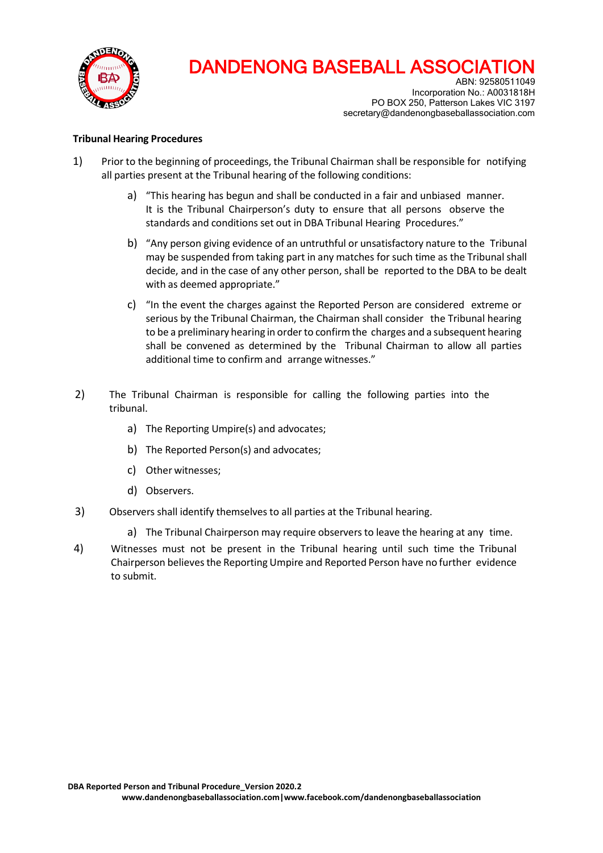

ABN: 92580511049 Incorporation No.: A0031818H PO BOX 250, Patterson Lakes VIC 3197 secretary@dandenongbaseballassociation.com

#### **Tribunal Hearing Procedures**

- 1) Prior to the beginning of proceedings, the Tribunal Chairman shall be responsible for notifying all parties present at the Tribunal hearing of the following conditions:
	- a) "This hearing has begun and shall be conducted in a fair and unbiased manner. It is the Tribunal Chairperson's duty to ensure that all persons observe the standards and conditions set out in DBA Tribunal Hearing Procedures."
	- b) "Any person giving evidence of an untruthful or unsatisfactory nature to the Tribunal may be suspended from taking part in any matches for such time as the Tribunal shall decide, and in the case of any other person, shall be reported to the DBA to be dealt with as deemed appropriate."
	- c) "In the event the charges against the Reported Person are considered extreme or serious by the Tribunal Chairman, the Chairman shall consider the Tribunal hearing to be a preliminary hearing in order to confirm the charges and a subsequent hearing shall be convened as determined by the Tribunal Chairman to allow all parties additional time to confirm and arrange witnesses."
- 2) The Tribunal Chairman is responsible for calling the following parties into the tribunal.
	- a) The Reporting Umpire(s) and advocates;
	- b) The Reported Person(s) and advocates;
	- c) Other witnesses;
	- d) Observers.
- 3) Observers shall identify themselves to all parties at the Tribunal hearing.
	- a) The Tribunal Chairperson may require observersto leave the hearing at any time.
- 4) Witnesses must not be present in the Tribunal hearing until such time the Tribunal Chairperson believesthe Reporting Umpire and Reported Person have no further evidence to submit.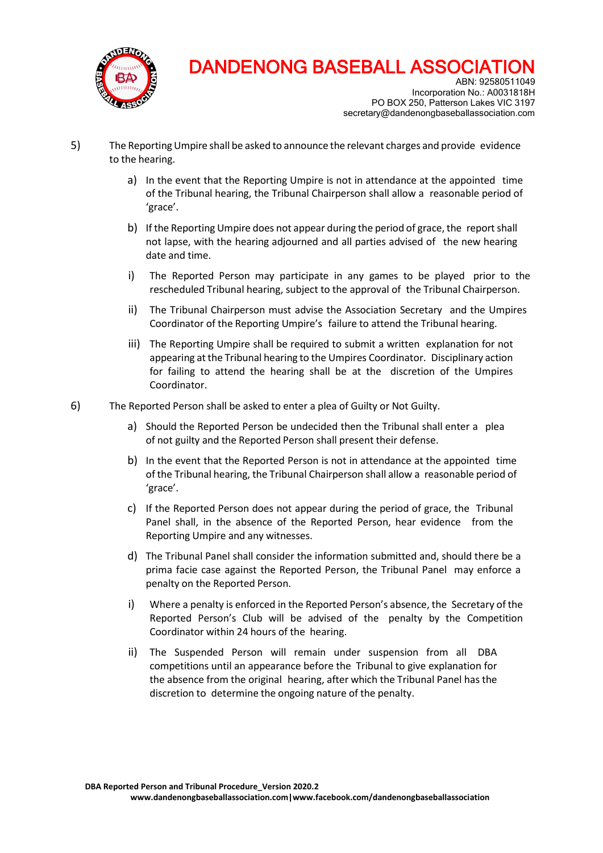

ABN: 92580511049 Incorporation No.: A0031818H PO BOX 250, Patterson Lakes VIC 3197 secretary@dandenongbaseballassociation.com

- 5) The ReportingUmpire shall be asked to announce the relevant charges and provide evidence to the hearing.
	- a) In the event that the Reporting Umpire is not in attendance at the appointed time of the Tribunal hearing, the Tribunal Chairperson shall allow a reasonable period of 'grace'.
	- b) If the Reporting Umpire does not appear during the period of grace, the report shall not lapse, with the hearing adjourned and all parties advised of the new hearing date and time.
	- i) The Reported Person may participate in any games to be played prior to the rescheduled Tribunal hearing, subject to the approval of the Tribunal Chairperson.
	- ii) The Tribunal Chairperson must advise the Association Secretary and the Umpires Coordinator of the Reporting Umpire's failure to attend the Tribunal hearing.
	- iii) The Reporting Umpire shall be required to submit a written explanation for not appearing atthe Tribunal hearing to the Umpires Coordinator. Disciplinary action for failing to attend the hearing shall be at the discretion of the Umpires Coordinator.
- 6) The Reported Person shall be asked to enter a plea of Guilty or Not Guilty.
	- a) Should the Reported Person be undecided then the Tribunal shall enter a plea of not guilty and the Reported Person shall present their defense.
	- b) In the event that the Reported Person is not in attendance at the appointed time of the Tribunal hearing, the Tribunal Chairperson shall allow a reasonable period of 'grace'.
	- c) If the Reported Person does not appear during the period of grace, the Tribunal Panel shall, in the absence of the Reported Person, hear evidence from the Reporting Umpire and any witnesses.
	- d) The Tribunal Panel shall consider the information submitted and, should there be a prima facie case against the Reported Person, the Tribunal Panel may enforce a penalty on the Reported Person.
	- i) Where a penalty is enforced in the Reported Person's absence, the Secretary of the Reported Person's Club will be advised of the penalty by the Competition Coordinator within 24 hours of the hearing.
	- ii) The Suspended Person will remain under suspension from all DBA competitions until an appearance before the Tribunal to give explanation for the absence from the original hearing, after which the Tribunal Panel hasthe discretion to determine the ongoing nature of the penalty.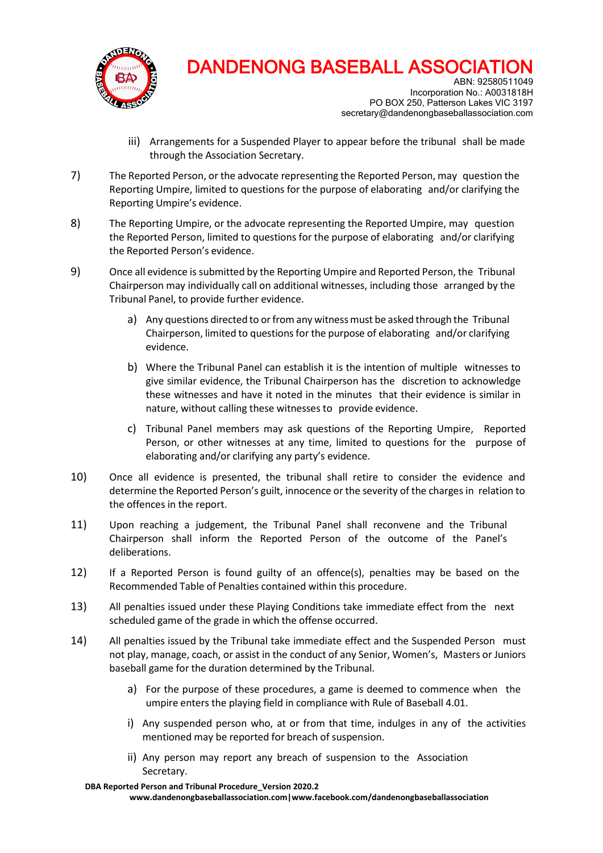

ABN: 92580511049 Incorporation No.: A0031818H PO BOX 250, Patterson Lakes VIC 3197 secretary@dandenongbaseballassociation.com

- iii) Arrangements for a Suspended Player to appear before the tribunal shall be made through the Association Secretary.
- 7) The Reported Person, or the advocate representing the Reported Person, may question the Reporting Umpire, limited to questions for the purpose of elaborating and/or clarifying the Reporting Umpire's evidence.
- 8) The Reporting Umpire, or the advocate representing the Reported Umpire, may question the Reported Person, limited to questions for the purpose of elaborating and/or clarifying the Reported Person's evidence.
- 9) Once all evidence issubmitted by the Reporting Umpire and Reported Person, the Tribunal Chairperson may individually call on additional witnesses, including those arranged by the Tribunal Panel, to provide further evidence.
	- a) Any questions directed to or from any witness must be asked through the Tribunal Chairperson, limited to questionsfor the purpose of elaborating and/or clarifying evidence.
	- b) Where the Tribunal Panel can establish it is the intention of multiple witnesses to give similar evidence, the Tribunal Chairperson has the discretion to acknowledge these witnesses and have it noted in the minutes that their evidence is similar in nature, without calling these witnesses to provide evidence.
	- c) Tribunal Panel members may ask questions of the Reporting Umpire, Reported Person, or other witnesses at any time, limited to questions for the purpose of elaborating and/or clarifying any party's evidence.
- 10) Once all evidence is presented, the tribunal shall retire to consider the evidence and determine the Reported Person's guilt, innocence or the severity of the charges in relation to the offences in the report.
- 11) Upon reaching a judgement, the Tribunal Panel shall reconvene and the Tribunal Chairperson shall inform the Reported Person of the outcome of the Panel's deliberations.
- 12) If a Reported Person is found guilty of an offence(s), penalties may be based on the Recommended Table of Penalties contained within this procedure.
- 13) All penalties issued under these Playing Conditions take immediate effect from the next scheduled game of the grade in which the offense occurred.
- 14) All penalties issued by the Tribunal take immediate effect and the Suspended Person must not play, manage, coach, or assist in the conduct of any Senior, Women's, Masters or Juniors baseball game for the duration determined by the Tribunal.
	- a) For the purpose of these procedures, a game is deemed to commence when the umpire enters the playing field in compliance with Rule of Baseball 4.01.
	- i) Any suspended person who, at or from that time, indulges in any of the activities mentioned may be reported for breach of suspension.
	- ii) Any person may report any breach of suspension to the Association Secretary.

**DBA Reported Person and Tribunal Procedure\_Version 2020.2**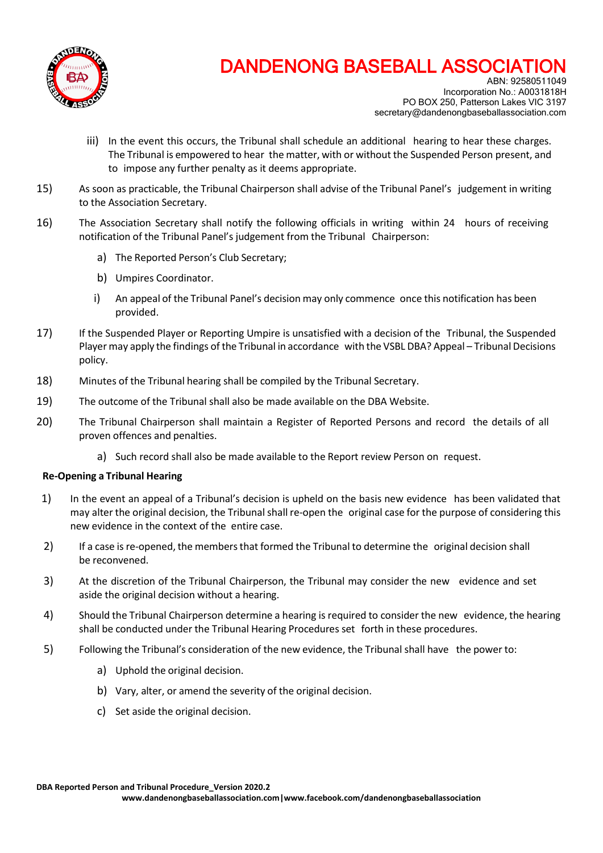

ABN: 92580511049 Incorporation No.: A0031818H PO BOX 250, Patterson Lakes VIC 3197 secretary@dandenongbaseballassociation.com

- iii) In the event this occurs, the Tribunal shall schedule an additional hearing to hear these charges. The Tribunal is empowered to hear the matter, with or without the Suspended Person present, and to impose any further penalty as it deems appropriate.
- 15) As soon as practicable, the Tribunal Chairperson shall advise of the Tribunal Panel's judgement in writing to the Association Secretary.
- 16) The Association Secretary shall notify the following officials in writing within 24 hours of receiving notification of the Tribunal Panel's judgement from the Tribunal Chairperson:
	- a) The Reported Person's Club Secretary;
	- b) Umpires Coordinator.
	- i) An appeal of the Tribunal Panel's decision may only commence once this notification has been provided.
- 17) If the Suspended Player or Reporting Umpire is unsatisfied with a decision of the Tribunal, the Suspended Player may apply the findings of the Tribunal in accordance with the VSBL DBA? Appeal – Tribunal Decisions policy.
- 18) Minutes of the Tribunal hearing shall be compiled by the Tribunal Secretary.
- 19) The outcome of the Tribunal shall also be made available on the DBA Website.
- 20) The Tribunal Chairperson shall maintain a Register of Reported Persons and record the details of all proven offences and penalties.
	- a) Such record shall also be made available to the Report review Person on request.

#### **Re-Opening a Tribunal Hearing**

- 1) In the event an appeal of a Tribunal's decision is upheld on the basis new evidence has been validated that may alter the original decision, the Tribunal shall re-open the original case for the purpose of considering this new evidence in the context of the entire case.
- 2) If a case is re-opened, the membersthat formed the Tribunal to determine the original decision shall be reconvened.
- 3) At the discretion of the Tribunal Chairperson, the Tribunal may consider the new evidence and set aside the original decision without a hearing.
- 4) Should the Tribunal Chairperson determine a hearing is required to consider the new evidence, the hearing shall be conducted under the Tribunal Hearing Procedures set forth in these procedures.
- 5) Following the Tribunal's consideration of the new evidence, the Tribunal shall have the power to:
	- a) Uphold the original decision.
	- b) Vary, alter, or amend the severity of the original decision.
	- c) Set aside the original decision.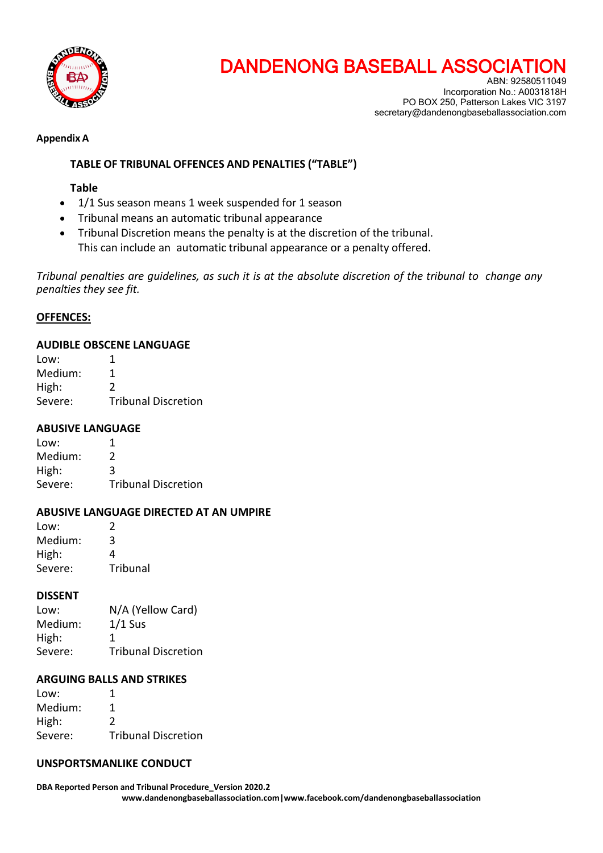

ABN: 92580511049 Incorporation No.: A0031818H PO BOX 250, Patterson Lakes VIC 3197 secretary@dandenongbaseballassociation.com

#### **Appendix A**

### **TABLE OF TRIBUNAL OFFENCES AND PENALTIES ("TABLE")**

#### **Table**

- 1/1 Sus season means 1 week suspended for 1 season
- Tribunal means an automatic tribunal appearance
- Tribunal Discretion means the penalty is at the discretion of the tribunal. This can include an automatic tribunal appearance or a penalty offered.

*Tribunal penalties are guidelines, as such it is at the absolute discretion of the tribunal to change any penalties they see fit.*

#### **OFFENCES:**

#### **AUDIBLE OBSCENE LANGUAGE**

| Low:    |                            |
|---------|----------------------------|
| Medium: |                            |
| High:   | 2                          |
| Severe: | <b>Tribunal Discretion</b> |

#### **ABUSIVE LANGUAGE**

| Low:    | 1                          |
|---------|----------------------------|
| Medium: | $\mathcal{L}$              |
| High:   | 3                          |
| Severe: | <b>Tribunal Discretion</b> |

#### **ABUSIVE LANGUAGE DIRECTED AT AN UMPIRE**

| Low:    | 2        |
|---------|----------|
| Medium: | 3        |
| High:   | 4        |
| Severe: | Tribunal |

#### **DISSENT**

| N/A (Yellow Card)          |
|----------------------------|
| $1/1$ Sus                  |
| 1                          |
| <b>Tribunal Discretion</b> |
|                            |

#### **ARGUING BALLS AND STRIKES**

| Low:    |                            |
|---------|----------------------------|
| Medium: | 1                          |
| High:   | $\mathcal{L}$              |
| Severe: | <b>Tribunal Discretion</b> |

#### **UNSPORTSMANLIKE CONDUCT**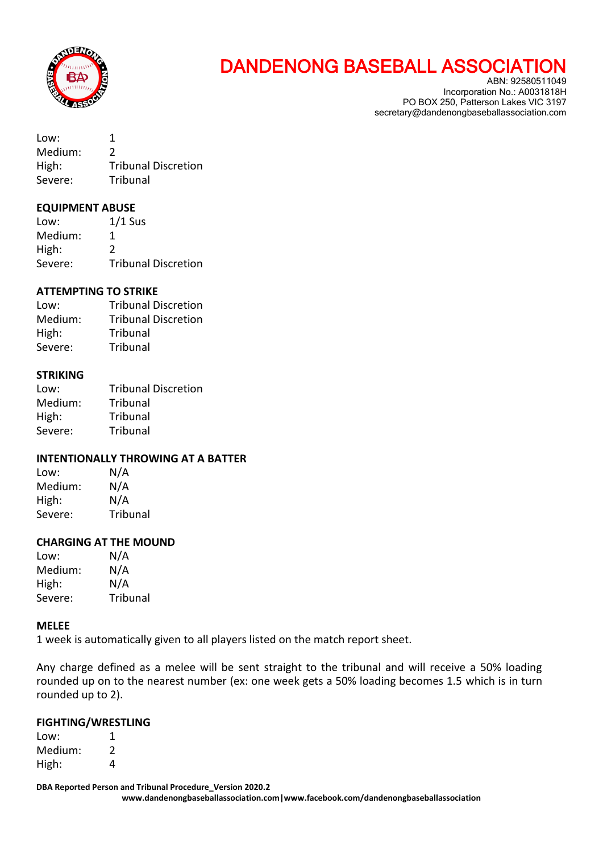

Incorporation No.: A0031818H PO BOX 250, Patterson Lakes VIC 3197 secretary@dandenongbaseballassociation.com

| Low:    | 1                          |
|---------|----------------------------|
| Medium: | $\mathcal{L}$              |
| High:   | <b>Tribunal Discretion</b> |
| Severe: | Tribunal                   |

#### **EQUIPMENT ABUSE**

| Low:    | $1/1$ Sus                  |
|---------|----------------------------|
| Medium: |                            |
| High:   | 2                          |
| Severe: | <b>Tribunal Discretion</b> |

#### **ATTEMPTING TO STRIKE**

Low: Tribunal Discretion Medium: Tribunal Discretion High: Tribunal Severe: Tribunal

#### **STRIKING**

| Low:    | <b>Tribunal Discretion</b> |
|---------|----------------------------|
| Medium: | Tribunal                   |
| High:   | Tribunal                   |
| Severe: | Tribunal                   |

#### **INTENTIONALLY THROWING AT A BATTER**

| Low:    | N/A      |
|---------|----------|
| Medium: | N/A      |
| High:   | N/A      |
| Severe: | Tribunal |

#### **CHARGING AT THE MOUND**

| Low:    | N/A      |
|---------|----------|
| Medium: | N/A      |
| High:   | N/A      |
| Severe: | Tribunal |

#### **MELEE**

1 week is automatically given to all players listed on the match report sheet.

Any charge defined as a melee will be sent straight to the tribunal and will receive a 50% loading rounded up on to the nearest number (ex: one week gets a 50% loading becomes 1.5 which is in turn rounded up to 2).

#### **FIGHTING/WRESTLING**

Low: 1 Medium: 2 High: 4

**DBA Reported Person and Tribunal Procedure\_Version 2020.2**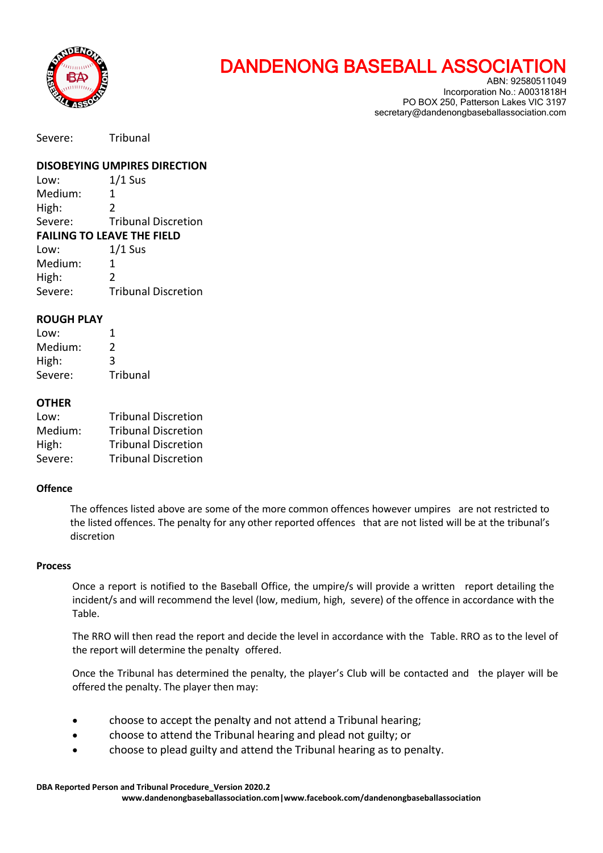

ABN: 92580511049 Incorporation No.: A0031818H PO BOX 250, Patterson Lakes VIC 3197 secretary@dandenongbaseballassociation.com

Severe: Tribunal

**DISOBEYING UMPIRES DIRECTION**

Low:  $1/1$  Sus Medium: 1 High: 2 Severe: Tribunal Discretion **FAILING TO LEAVE THE FIELD** Low:  $1/1$  Sus Medium<sup>.</sup>

| <u>iviculuit.</u> |                            |
|-------------------|----------------------------|
| High:             |                            |
| Severe:           | <b>Tribunal Discretion</b> |

#### **ROUGH PLAY**

| Low:    | 1        |
|---------|----------|
| Medium: | 2        |
| High:   | 3        |
| Severe: | Tribunal |

#### **OTHER**

| Low:    | <b>Tribunal Discretion</b> |
|---------|----------------------------|
| Medium: | <b>Tribunal Discretion</b> |
| High:   | <b>Tribunal Discretion</b> |
| Severe: | <b>Tribunal Discretion</b> |

#### **Offence**

The offences listed above are some of the more common offences however umpires are not restricted to the listed offences. The penalty for any other reported offences that are not listed will be at the tribunal's discretion

#### **Process**

Once a report is notified to the Baseball Office, the umpire/s will provide a written report detailing the incident/s and will recommend the level (low, medium, high, severe) of the offence in accordance with the Table.

The RRO will then read the report and decide the level in accordance with the Table. RRO as to the level of the report will determine the penalty offered.

Once the Tribunal has determined the penalty, the player's Club will be contacted and the player will be offered the penalty. The player then may:

- choose to accept the penalty and not attend a Tribunal hearing;
- choose to attend the Tribunal hearing and plead not guilty; or
- choose to plead guilty and attend the Tribunal hearing as to penalty.

**DBA Reported Person and Tribunal Procedure\_Version 2020.2**